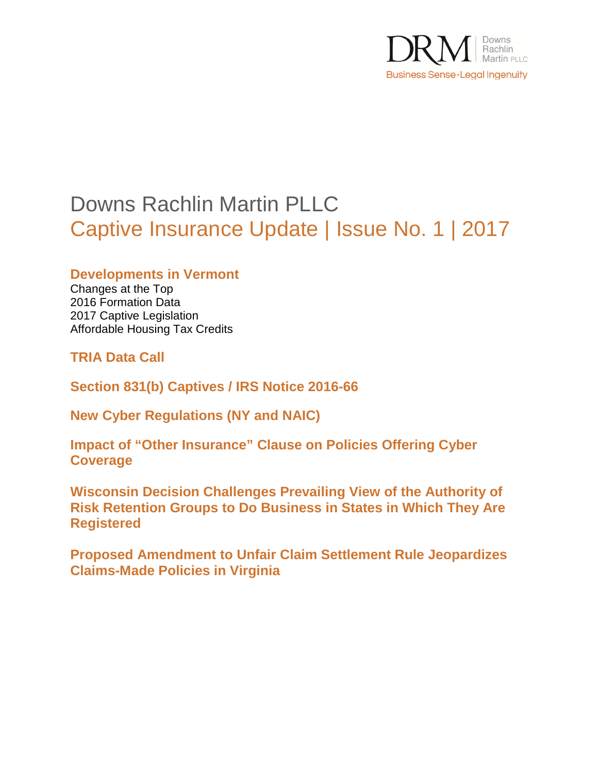

# Downs Rachlin Martin PLLC Captive Insurance Update | Issue No. 1 | 2017

**Developments in Vermont** 

Changes at the Top 2016 Formation Data 2017 Captive Legislation Affordable Housing Tax Credits

**TRIA Data Call** 

**Section 831(b) Captives / IRS Notice 2016-66** 

**New Cyber Regulations (NY and NAIC)** 

**Impact of "Other Insurance" Clause on Policies Offering Cyber Coverage** 

**Wisconsin Decision Challenges Prevailing View of the Authority of Risk Retention Groups to Do Business in States in Which They Are Registered** 

**Proposed Amendment to Unfair Claim Settlement Rule Jeopardizes Claims-Made Policies in Virginia**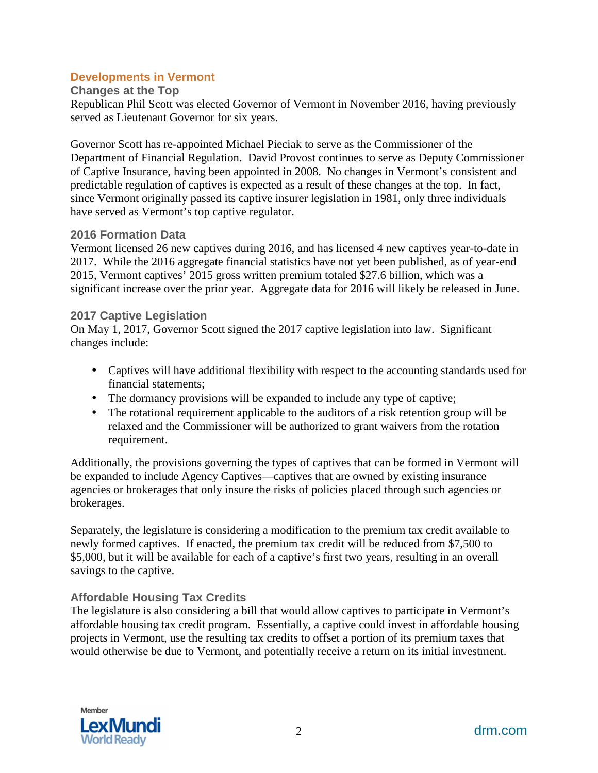### **Developments in Vermont**

#### **Changes at the Top**

Republican Phil Scott was elected Governor of Vermont in November 2016, having previously served as Lieutenant Governor for six years.

Governor Scott has re-appointed Michael Pieciak to serve as the Commissioner of the Department of Financial Regulation. David Provost continues to serve as Deputy Commissioner of Captive Insurance, having been appointed in 2008. No changes in Vermont's consistent and predictable regulation of captives is expected as a result of these changes at the top. In fact, since Vermont originally passed its captive insurer legislation in 1981, only three individuals have served as Vermont's top captive regulator.

#### **2016 Formation Data**

Vermont licensed 26 new captives during 2016, and has licensed 4 new captives year-to-date in 2017. While the 2016 aggregate financial statistics have not yet been published, as of year-end 2015, Vermont captives' 2015 gross written premium totaled \$27.6 billion, which was a significant increase over the prior year. Aggregate data for 2016 will likely be released in June.

#### **2017 Captive Legislation**

On May 1, 2017, Governor Scott signed the 2017 captive legislation into law. Significant changes include:

- Captives will have additional flexibility with respect to the accounting standards used for financial statements;
- The dormancy provisions will be expanded to include any type of captive;
- The rotational requirement applicable to the auditors of a risk retention group will be relaxed and the Commissioner will be authorized to grant waivers from the rotation requirement.

Additionally, the provisions governing the types of captives that can be formed in Vermont will be expanded to include Agency Captives—captives that are owned by existing insurance agencies or brokerages that only insure the risks of policies placed through such agencies or brokerages.

Separately, the legislature is considering a modification to the premium tax credit available to newly formed captives. If enacted, the premium tax credit will be reduced from \$7,500 to \$5,000, but it will be available for each of a captive's first two years, resulting in an overall savings to the captive.

### **Affordable Housing Tax Credits**

The legislature is also considering a bill that would allow captives to participate in Vermont's affordable housing tax credit program. Essentially, a captive could invest in affordable housing projects in Vermont, use the resulting tax credits to offset a portion of its premium taxes that would otherwise be due to Vermont, and potentially receive a return on its initial investment.

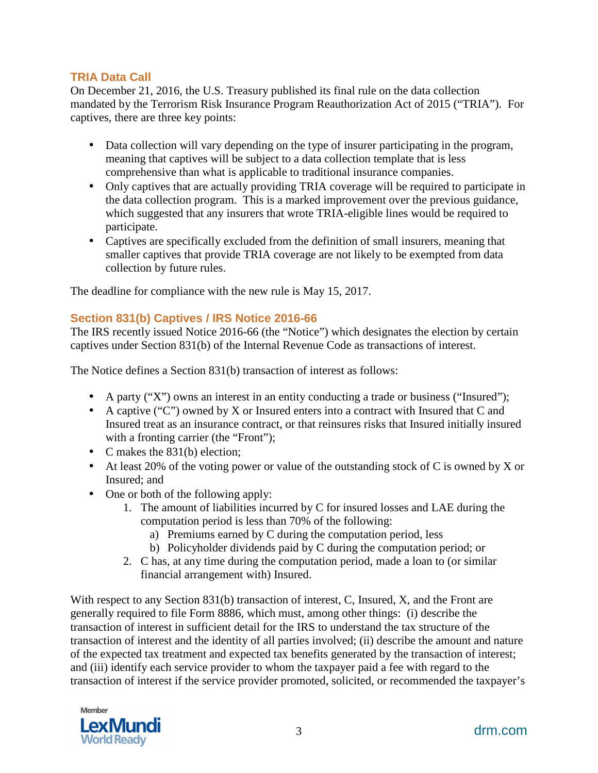## **TRIA Data Call**

On December 21, 2016, the U.S. Treasury published its final rule on the data collection mandated by the Terrorism Risk Insurance Program Reauthorization Act of 2015 ("TRIA"). For captives, there are three key points:

- Data collection will vary depending on the type of insurer participating in the program, meaning that captives will be subject to a data collection template that is less comprehensive than what is applicable to traditional insurance companies.
- Only captives that are actually providing TRIA coverage will be required to participate in the data collection program. This is a marked improvement over the previous guidance, which suggested that any insurers that wrote TRIA-eligible lines would be required to participate.
- Captives are specifically excluded from the definition of small insurers, meaning that smaller captives that provide TRIA coverage are not likely to be exempted from data collection by future rules.

The deadline for compliance with the new rule is May 15, 2017.

# **Section 831(b) Captives / IRS Notice 2016-66**

The IRS recently issued Notice 2016-66 (the "Notice") which designates the election by certain captives under Section 831(b) of the Internal Revenue Code as transactions of interest.

The Notice defines a Section 831(b) transaction of interest as follows:

- A party ("X") owns an interest in an entity conducting a trade or business ("Insured");
- A captive ("C") owned by X or Insured enters into a contract with Insured that C and Insured treat as an insurance contract, or that reinsures risks that Insured initially insured with a fronting carrier (the "Front");
- C makes the 831(b) election:
- At least 20% of the voting power or value of the outstanding stock of C is owned by X or Insured; and
- One or both of the following apply:
	- 1. The amount of liabilities incurred by C for insured losses and LAE during the computation period is less than 70% of the following:
		- a) Premiums earned by C during the computation period, less
		- b) Policyholder dividends paid by C during the computation period; or
	- 2. C has, at any time during the computation period, made a loan to (or similar financial arrangement with) Insured.

With respect to any Section 831(b) transaction of interest, C, Insured, X, and the Front are generally required to file Form 8886, which must, among other things: (i) describe the transaction of interest in sufficient detail for the IRS to understand the tax structure of the transaction of interest and the identity of all parties involved; (ii) describe the amount and nature of the expected tax treatment and expected tax benefits generated by the transaction of interest; and (iii) identify each service provider to whom the taxpayer paid a fee with regard to the transaction of interest if the service provider promoted, solicited, or recommended the taxpayer's

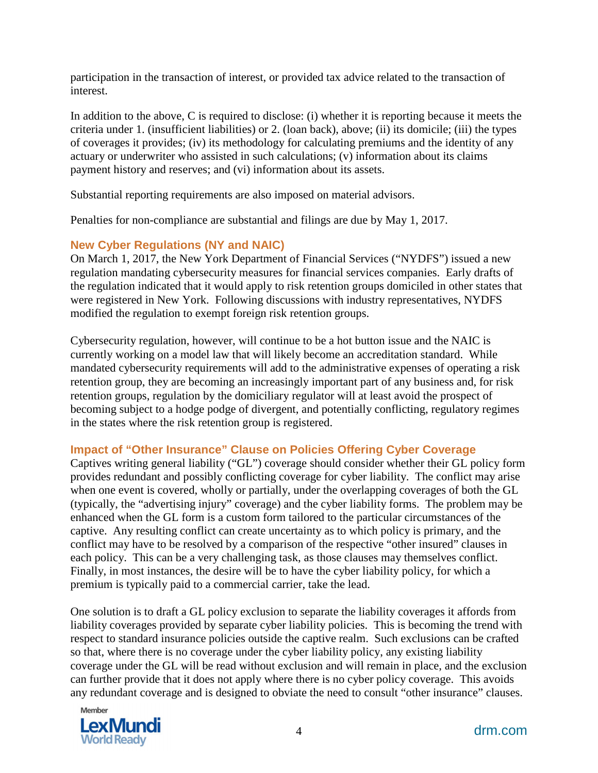participation in the transaction of interest, or provided tax advice related to the transaction of interest.

In addition to the above, C is required to disclose: (i) whether it is reporting because it meets the criteria under 1. (insufficient liabilities) or 2. (loan back), above; (ii) its domicile; (iii) the types of coverages it provides; (iv) its methodology for calculating premiums and the identity of any actuary or underwriter who assisted in such calculations; (v) information about its claims payment history and reserves; and (vi) information about its assets.

Substantial reporting requirements are also imposed on material advisors.

Penalties for non-compliance are substantial and filings are due by May 1, 2017.

## **New Cyber Regulations (NY and NAIC)**

On March 1, 2017, the New York Department of Financial Services ("NYDFS") issued a new regulation mandating cybersecurity measures for financial services companies. Early drafts of the regulation indicated that it would apply to risk retention groups domiciled in other states that were registered in New York. Following discussions with industry representatives, NYDFS modified the regulation to exempt foreign risk retention groups.

Cybersecurity regulation, however, will continue to be a hot button issue and the NAIC is currently working on a model law that will likely become an accreditation standard. While mandated cybersecurity requirements will add to the administrative expenses of operating a risk retention group, they are becoming an increasingly important part of any business and, for risk retention groups, regulation by the domiciliary regulator will at least avoid the prospect of becoming subject to a hodge podge of divergent, and potentially conflicting, regulatory regimes in the states where the risk retention group is registered.

# **Impact of "Other Insurance" Clause on Policies Offering Cyber Coverage**

Captives writing general liability ("GL") coverage should consider whether their GL policy form provides redundant and possibly conflicting coverage for cyber liability. The conflict may arise when one event is covered, wholly or partially, under the overlapping coverages of both the GL (typically, the "advertising injury" coverage) and the cyber liability forms. The problem may be enhanced when the GL form is a custom form tailored to the particular circumstances of the captive. Any resulting conflict can create uncertainty as to which policy is primary, and the conflict may have to be resolved by a comparison of the respective "other insured" clauses in each policy. This can be a very challenging task, as those clauses may themselves conflict. Finally, in most instances, the desire will be to have the cyber liability policy, for which a premium is typically paid to a commercial carrier, take the lead.

One solution is to draft a GL policy exclusion to separate the liability coverages it affords from liability coverages provided by separate cyber liability policies. This is becoming the trend with respect to standard insurance policies outside the captive realm. Such exclusions can be crafted so that, where there is no coverage under the cyber liability policy, any existing liability coverage under the GL will be read without exclusion and will remain in place, and the exclusion can further provide that it does not apply where there is no cyber policy coverage. This avoids any redundant coverage and is designed to obviate the need to consult "other insurance" clauses.

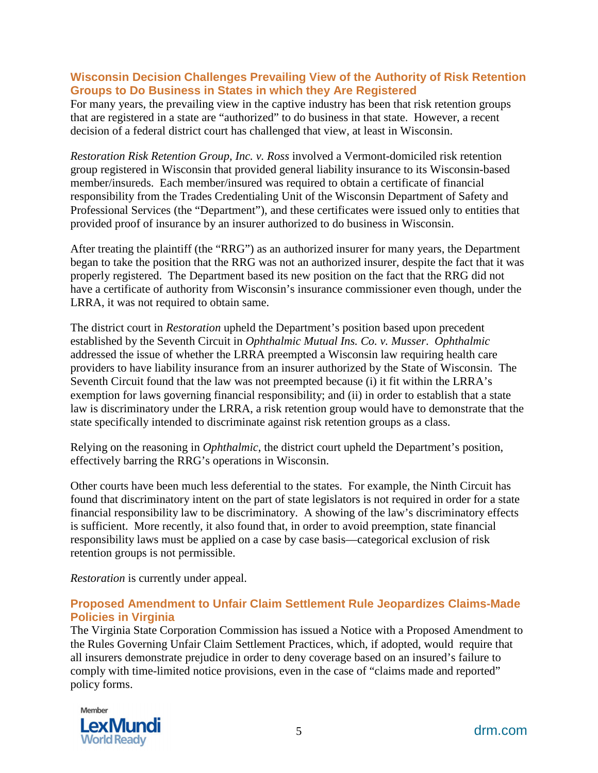#### **Wisconsin Decision Challenges Prevailing View of the Authority of Risk Retention Groups to Do Business in States in which they Are Registered**

For many years, the prevailing view in the captive industry has been that risk retention groups that are registered in a state are "authorized" to do business in that state. However, a recent decision of a federal district court has challenged that view, at least in Wisconsin.

*Restoration Risk Retention Group, Inc. v. Ross* involved a Vermont-domiciled risk retention group registered in Wisconsin that provided general liability insurance to its Wisconsin-based member/insureds. Each member/insured was required to obtain a certificate of financial responsibility from the Trades Credentialing Unit of the Wisconsin Department of Safety and Professional Services (the "Department"), and these certificates were issued only to entities that provided proof of insurance by an insurer authorized to do business in Wisconsin.

After treating the plaintiff (the "RRG") as an authorized insurer for many years, the Department began to take the position that the RRG was not an authorized insurer, despite the fact that it was properly registered. The Department based its new position on the fact that the RRG did not have a certificate of authority from Wisconsin's insurance commissioner even though, under the LRRA, it was not required to obtain same.

The district court in *Restoration* upheld the Department's position based upon precedent established by the Seventh Circuit in *Ophthalmic Mutual Ins. Co. v. Musser*. *Ophthalmic* addressed the issue of whether the LRRA preempted a Wisconsin law requiring health care providers to have liability insurance from an insurer authorized by the State of Wisconsin. The Seventh Circuit found that the law was not preempted because (i) it fit within the LRRA's exemption for laws governing financial responsibility; and (ii) in order to establish that a state law is discriminatory under the LRRA, a risk retention group would have to demonstrate that the state specifically intended to discriminate against risk retention groups as a class.

Relying on the reasoning in *Ophthalmic*, the district court upheld the Department's position, effectively barring the RRG's operations in Wisconsin.

Other courts have been much less deferential to the states. For example, the Ninth Circuit has found that discriminatory intent on the part of state legislators is not required in order for a state financial responsibility law to be discriminatory. A showing of the law's discriminatory effects is sufficient. More recently, it also found that, in order to avoid preemption, state financial responsibility laws must be applied on a case by case basis—categorical exclusion of risk retention groups is not permissible.

*Restoration* is currently under appeal.

## **Proposed Amendment to Unfair Claim Settlement Rule Jeopardizes Claims-Made Policies in Virginia**

The Virginia State Corporation Commission has issued a Notice with a Proposed Amendment to the Rules Governing Unfair Claim Settlement Practices, which, if adopted, would require that all insurers demonstrate prejudice in order to deny coverage based on an insured's failure to comply with time-limited notice provisions, even in the case of "claims made and reported" policy forms.